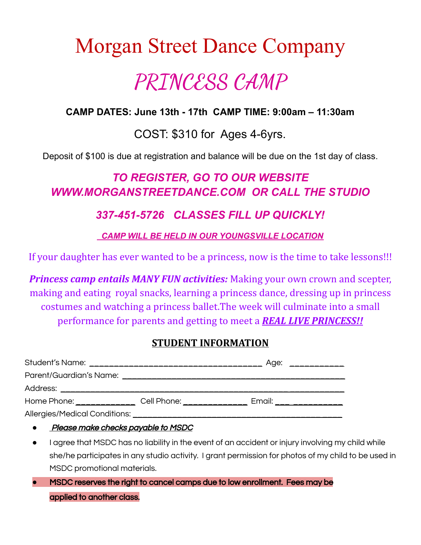# Morgan Street Dance Company **PRINCESS CAMP**

### **CAMP DATES: June 13th - 17th CAMP TIME: 9:00am – 11:30am**

### COST: \$310 for Ages 4-6yrs.

Deposit of \$100 is due at registration and balance will be due on the 1st day of class.

# *TO REGISTER, GO TO OUR WEBSITE WWW.MORGANSTREETDANCE.COM OR CALL THE STUDIO*

### *337-451-5726 CLASSES FILL UP QUICKLY!*

*CAMP WILL BE HELD IN OUR YOUNGSVILLE LOCATION*

If your daughter has ever wanted to be a princess, now is the time to take lessons!!!

*Princess camp entails MANY FUN activities:* Making your own crown and scepter, making and eating royal snacks, learning a princess dance, dressing up in princess costumes and watching a princess ballet.The week will culminate into a small performance for parents and getting to meet a *REAL LIVE PRINCESS!!*

#### **STUDENT INFORMATION**

|                                                                                                      | Age: ____________       |  |
|------------------------------------------------------------------------------------------------------|-------------------------|--|
|                                                                                                      |                         |  |
|                                                                                                      |                         |  |
| Cell Phone: The College of the College of the College of the College of the College of the College o | Email: ________________ |  |
|                                                                                                      |                         |  |

**Please make checks payable to MSDC** 

- I agree that MSDC has no liability in the event of an accident or injury involving my child while she/he participates in any studio activity. I grant permission for photos of my child to be used in MSDC promotional materials.
- **●** MSDC reserves the right to cancel camps due to low enrollment. Fees may be applied to another class.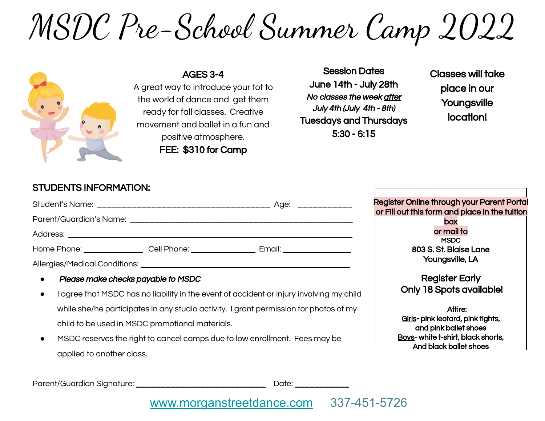# MSDC Pre-School Summer Camp 2022



AGES 3-4 A great way to introduce your tot to the world of dance and get them ready for fall classes. Creative movement and ballet in a fun and positive atmosphere. FEE: \$310 for Camp

Session Dates June 14th - July 28th No classes the week after July 4th (July 4th - 8th) Tuesdays and Thursdays 5:30 - 6:15

Classes will take place in our **Youngsville** location!

### STUDENTS INFORMATION:

|                                                              | Age: ______________                                                                                                                                                                                                            |
|--------------------------------------------------------------|--------------------------------------------------------------------------------------------------------------------------------------------------------------------------------------------------------------------------------|
|                                                              |                                                                                                                                                                                                                                |
|                                                              |                                                                                                                                                                                                                                |
| Home Phone: __________________Cell Phone: __________________ | Email: Email: Album and the state of the state of the state of the state of the state of the state of the state of the state of the state of the state of the state of the state of the state of the state of the state of the |
|                                                              |                                                                                                                                                                                                                                |

- Please make checks payable to MSDC
- I agree that MSDC has no liability in the event of accident or injury involving my child while she/he participates in any studio activity. I grant permission for photos of my child to be used in MSDC promotional materials.
- MSDC reserves the right to cancel camps due to low enrollment. Fees may be applied to another class.

Register Online through your Parent Portal or Fill out this form and place in the tuition box or mail to **MSDC** 803 S. St. Blaise Lane Youngsville, LA

> Register Early Only 18 Spots available!

Attire: Girls- pink leotard, pink tights, and pink ballet shoes Boys- white t-shirt, black shorts, And black ballet shoes

Parent/Guardian Signature: etc. and the contract of the Date:  $\Box$ 

## [www.morganstreetdance.com](http://www.morganstreetdance.com) 337-451-5726